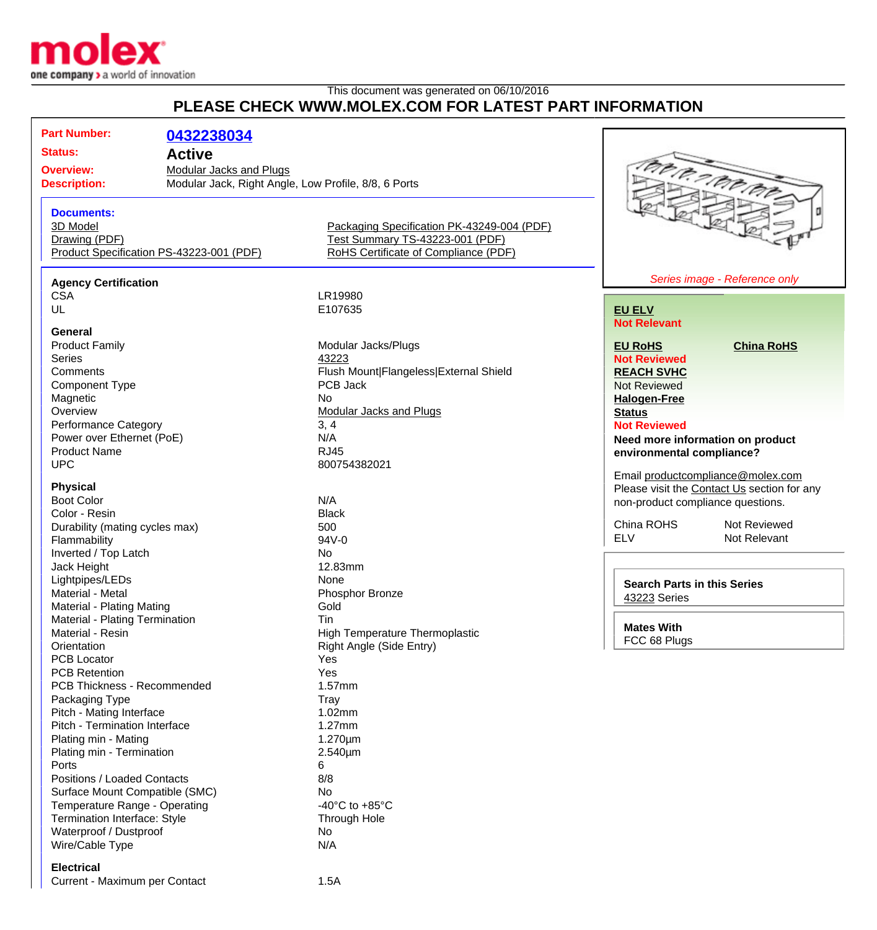

## This document was generated on 06/10/2016 **PLEASE CHECK WWW.MOLEX.COM FOR LATEST PART INFORMATION**

| <b>Status:</b>                                 | 0432238034<br><b>Active</b>                                                            |                                                                                                                       |                                             |  |
|------------------------------------------------|----------------------------------------------------------------------------------------|-----------------------------------------------------------------------------------------------------------------------|---------------------------------------------|--|
| <b>Overview:</b><br><b>Description:</b>        | <b>Modular Jacks and Plugs</b><br>Modular Jack, Right Angle, Low Profile, 8/8, 6 Ports |                                                                                                                       | tro a novo                                  |  |
| <b>Documents:</b><br>3D Model<br>Drawing (PDF) | Product Specification PS-43223-001 (PDF)                                               | Packaging Specification PK-43249-004 (PDF)<br>Test Summary TS-43223-001 (PDF)<br>RoHS Certificate of Compliance (PDF) |                                             |  |
| <b>Agency Certification</b>                    |                                                                                        |                                                                                                                       | Series image - Reference only               |  |
| <b>CSA</b>                                     |                                                                                        | LR19980                                                                                                               |                                             |  |
| UL                                             |                                                                                        | E107635                                                                                                               | <b>EU ELV</b>                               |  |
|                                                |                                                                                        |                                                                                                                       | <b>Not Relevant</b>                         |  |
| General                                        |                                                                                        |                                                                                                                       |                                             |  |
| <b>Product Family</b>                          |                                                                                        | Modular Jacks/Plugs                                                                                                   | <b>EU RoHS</b><br><b>China RoHS</b>         |  |
| <b>Series</b>                                  |                                                                                        | 43223                                                                                                                 | <b>Not Reviewed</b>                         |  |
| Comments                                       |                                                                                        | Flush Mount Flangeless External Shield                                                                                | <b>REACH SVHC</b>                           |  |
| <b>Component Type</b>                          |                                                                                        | PCB Jack                                                                                                              | Not Reviewed                                |  |
| Magnetic                                       |                                                                                        | <b>No</b>                                                                                                             | <b>Halogen-Free</b>                         |  |
| Overview                                       |                                                                                        | <b>Modular Jacks and Plugs</b>                                                                                        | <b>Status</b>                               |  |
| Performance Category                           |                                                                                        | 3, 4                                                                                                                  | <b>Not Reviewed</b>                         |  |
| Power over Ethernet (PoE)                      |                                                                                        | N/A                                                                                                                   | Need more information on product            |  |
| <b>Product Name</b>                            |                                                                                        | <b>RJ45</b>                                                                                                           |                                             |  |
| <b>UPC</b>                                     |                                                                                        | 800754382021                                                                                                          | environmental compliance?                   |  |
|                                                |                                                                                        |                                                                                                                       | Email productcompliance@molex.com           |  |
| <b>Physical</b>                                |                                                                                        |                                                                                                                       | Please visit the Contact Us section for any |  |
| <b>Boot Color</b>                              |                                                                                        | N/A                                                                                                                   | non-product compliance questions.           |  |
| Color - Resin                                  |                                                                                        | <b>Black</b>                                                                                                          |                                             |  |
| Durability (mating cycles max)                 |                                                                                        | 500                                                                                                                   | China ROHS<br>Not Reviewed                  |  |
| Flammability                                   |                                                                                        | 94V-0                                                                                                                 | <b>ELV</b><br>Not Relevant                  |  |
| Inverted / Top Latch                           |                                                                                        | No                                                                                                                    |                                             |  |
|                                                |                                                                                        | 12.83mm                                                                                                               |                                             |  |
| Jack Height                                    |                                                                                        | None                                                                                                                  |                                             |  |
| Lightpipes/LEDs                                |                                                                                        |                                                                                                                       | <b>Search Parts in this Series</b>          |  |
| Material - Metal                               |                                                                                        | Phosphor Bronze                                                                                                       | 43223 Series                                |  |
| Material - Plating Mating                      |                                                                                        | Gold                                                                                                                  |                                             |  |
| Material - Plating Termination                 |                                                                                        | Tin                                                                                                                   | <b>Mates With</b>                           |  |
| Material - Resin                               |                                                                                        | <b>High Temperature Thermoplastic</b>                                                                                 | FCC 68 Plugs                                |  |
| Orientation                                    |                                                                                        | Right Angle (Side Entry)                                                                                              |                                             |  |
| <b>PCB Locator</b>                             |                                                                                        | Yes                                                                                                                   |                                             |  |
| <b>PCB Retention</b>                           |                                                                                        | Yes                                                                                                                   |                                             |  |
| PCB Thickness - Recommended                    |                                                                                        | 1.57mm                                                                                                                |                                             |  |
| Packaging Type                                 |                                                                                        | Tray                                                                                                                  |                                             |  |
| Pitch - Mating Interface                       |                                                                                        | 1.02mm                                                                                                                |                                             |  |
| Pitch - Termination Interface                  |                                                                                        | $1.27$ mm                                                                                                             |                                             |  |
| Plating min - Mating                           |                                                                                        | $1.270 \mu m$                                                                                                         |                                             |  |
| Plating min - Termination                      |                                                                                        | $2.540 \mu m$                                                                                                         |                                             |  |
| Ports                                          |                                                                                        | 6                                                                                                                     |                                             |  |
| Positions / Loaded Contacts                    |                                                                                        | 8/8                                                                                                                   |                                             |  |
| Surface Mount Compatible (SMC)                 |                                                                                        | No                                                                                                                    |                                             |  |
| Temperature Range - Operating                  |                                                                                        | -40 $^{\circ}$ C to +85 $^{\circ}$ C                                                                                  |                                             |  |
| Termination Interface: Style                   |                                                                                        | Through Hole                                                                                                          |                                             |  |
| Waterproof / Dustproof                         |                                                                                        |                                                                                                                       |                                             |  |
|                                                |                                                                                        | No.                                                                                                                   |                                             |  |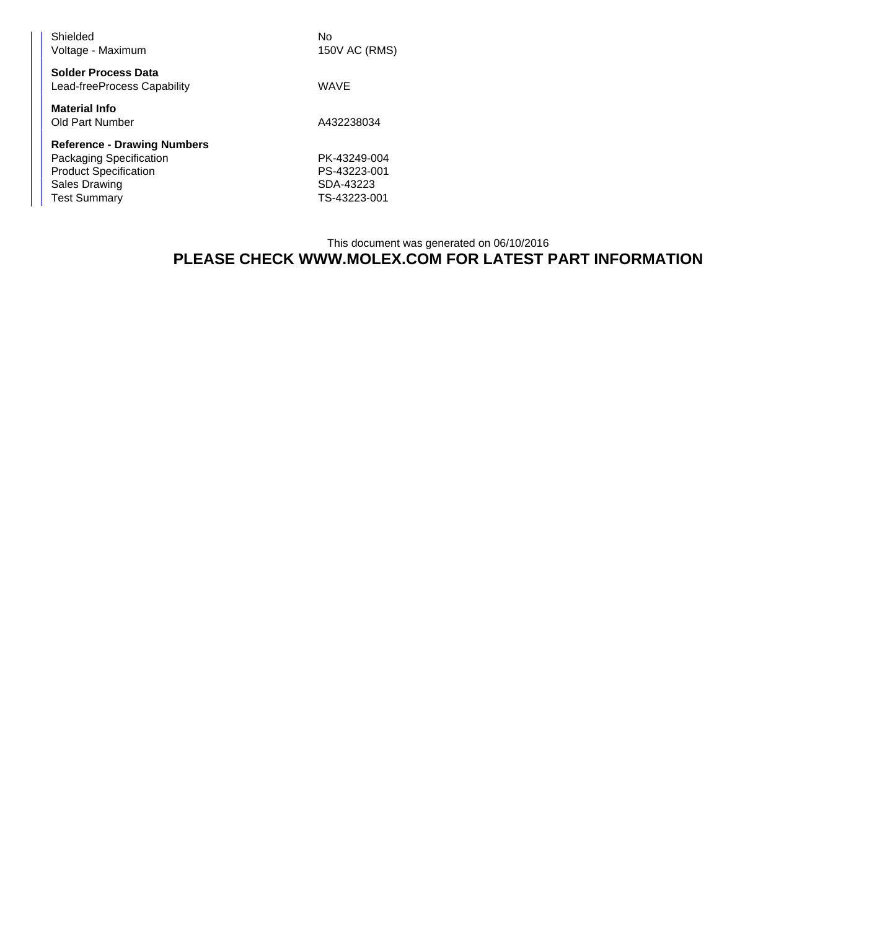| Shielded<br>Voltage - Maximum                                                                                                                | No<br>150V AC (RMS)                                       |
|----------------------------------------------------------------------------------------------------------------------------------------------|-----------------------------------------------------------|
| <b>Solder Process Data</b><br>Lead-freeProcess Capability                                                                                    | <b>WAVE</b>                                               |
| <b>Material Info</b><br>Old Part Number                                                                                                      | A432238034                                                |
| <b>Reference - Drawing Numbers</b><br>Packaging Specification<br><b>Product Specification</b><br><b>Sales Drawing</b><br><b>Test Summary</b> | PK-43249-004<br>PS-43223-001<br>SDA-43223<br>TS-43223-001 |

## This document was generated on 06/10/2016 **PLEASE CHECK WWW.MOLEX.COM FOR LATEST PART INFORMATION**